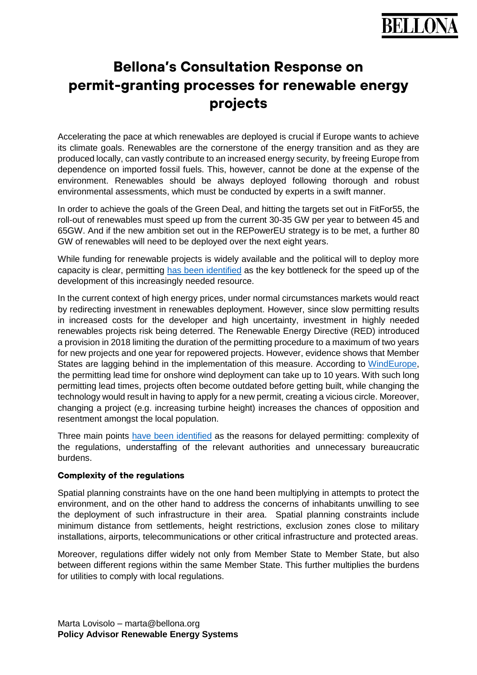# **Bellona's Consultation Response on permit-granting processes for renewable energy projects**

Accelerating the pace at which renewables are deployed is crucial if Europe wants to achieve its climate goals. Renewables are the cornerstone of the energy transition and as they are produced locally, can vastly contribute to an increased energy security, by freeing Europe from dependence on imported fossil fuels. This, however, cannot be done at the expense of the environment. Renewables should be always deployed following thorough and robust environmental assessments, which must be conducted by experts in a swift manner.

In order to achieve the goals of the Green Deal, and hitting the targets set out in FitFor55, the roll-out of renewables must speed up from the current 30-35 GW per year to between 45 and 65GW. And if the new ambition set out in the REPowerEU strategy is to be met, a further 80 GW of renewables will need to be deployed over the next eight years.

While funding for renewable projects is widely available and the political will to deploy more capacity is clear, permitting [has been identified](https://iea.blob.core.windows.net/assets/5ae32253-7409-4f9a-a91d-1493ffb9777a/Renewables2021-Analysisandforecastto2026.pdf) as the key bottleneck for the speed up of the development of this increasingly needed resource.

In the current context of high energy prices, under normal circumstances markets would react by redirecting investment in renewables deployment. However, since slow permitting results in increased costs for the developer and high uncertainty, investment in highly needed renewables projects risk being deterred. The Renewable Energy Directive (RED) introduced a provision in 2018 limiting the duration of the permitting procedure to a maximum of two years for new projects and one year for repowered projects. However, evidence shows that Member States are lagging behind in the implementation of this measure. According to [WindEurope,](https://windeurope.org/policy/topics/permitting/) the permitting lead time for onshore wind deployment can take up to 10 years. With such long permitting lead times, projects often become outdated before getting built, while changing the technology would result in having to apply for a new permit, creating a vicious circle. Moreover, changing a project (e.g. increasing turbine height) increases the chances of opposition and resentment amongst the local population.

Three main points [have been identified](https://windeurope.org/policy/topics/permitting/) as the reasons for delayed permitting: complexity of the regulations, understaffing of the relevant authorities and unnecessary bureaucratic burdens.

### **Complexity of the regulations**

Spatial planning constraints have on the one hand been multiplying in attempts to protect the environment, and on the other hand to address the concerns of inhabitants unwilling to see the deployment of such infrastructure in their area. Spatial planning constraints include minimum distance from settlements, height restrictions, exclusion zones close to military installations, airports, telecommunications or other critical infrastructure and protected areas.

Moreover, regulations differ widely not only from Member State to Member State, but also between different regions within the same Member State. This further multiplies the burdens for utilities to comply with local regulations.